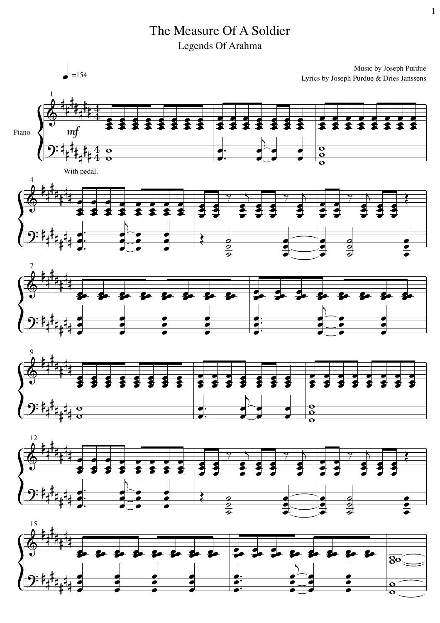The Measure Of A Soldier Legends Of Arahma

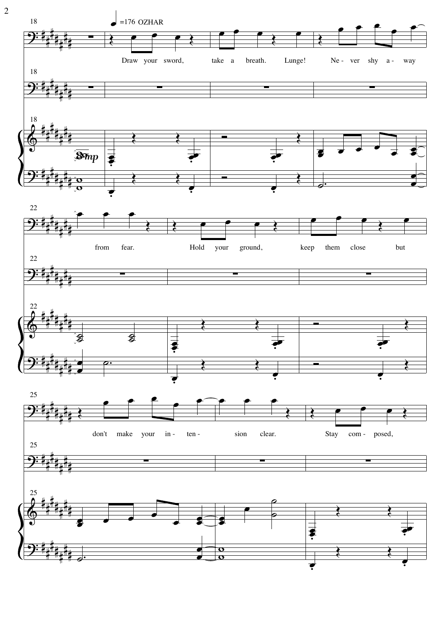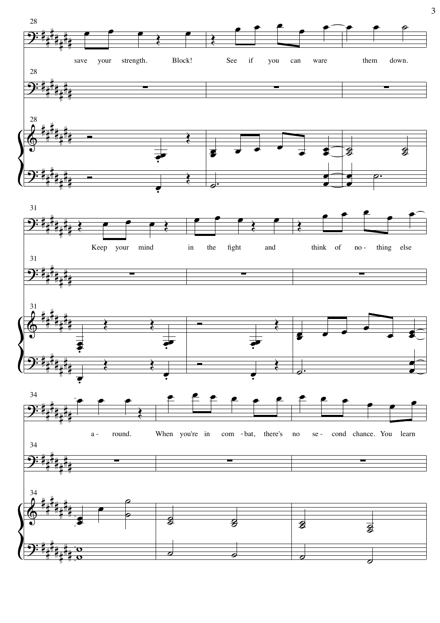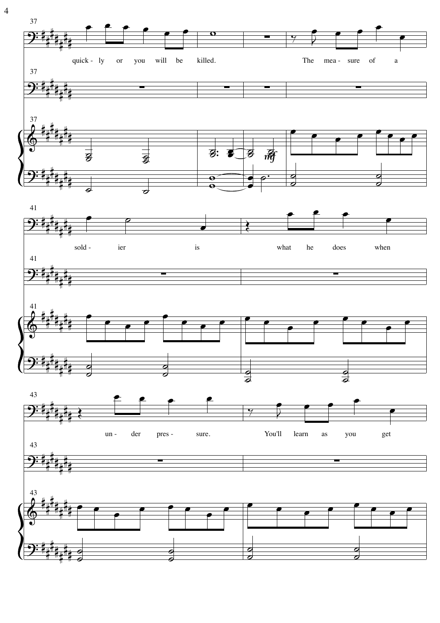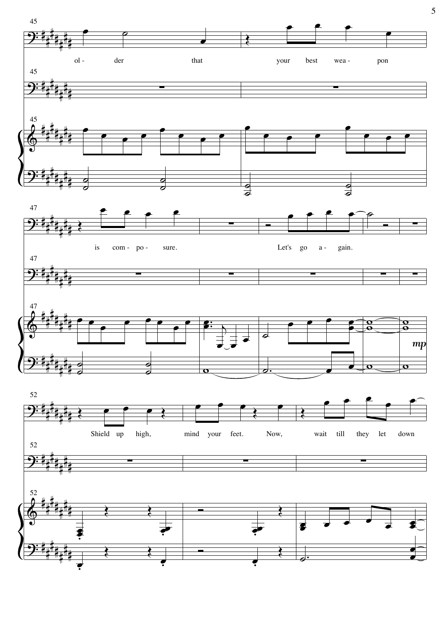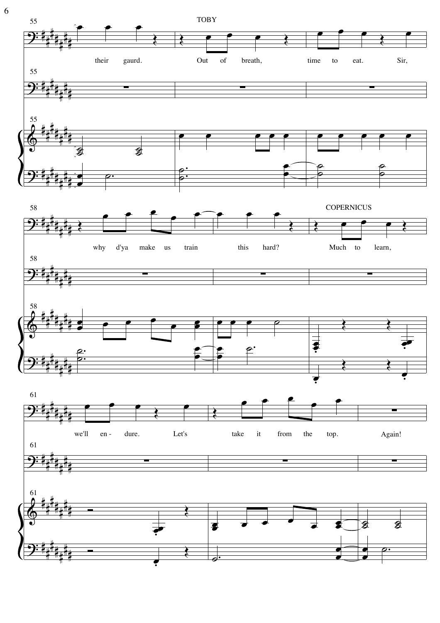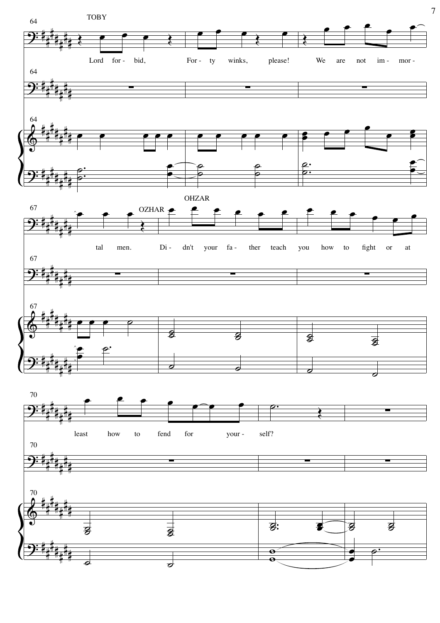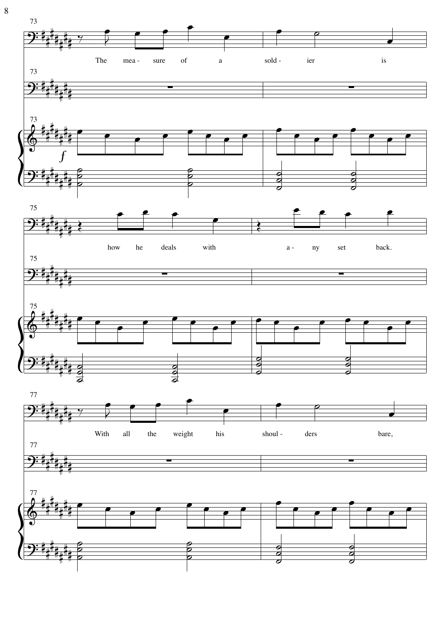

 $\, 8$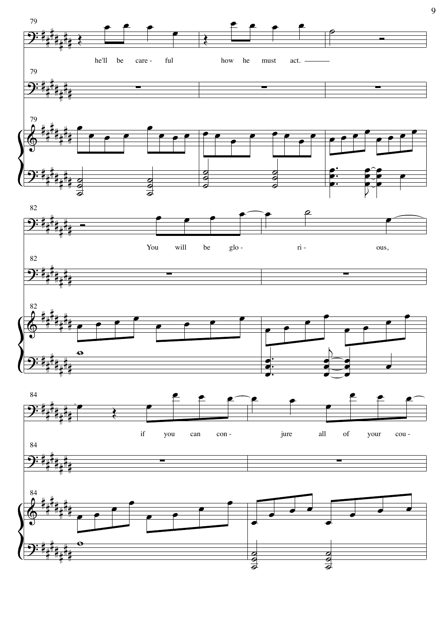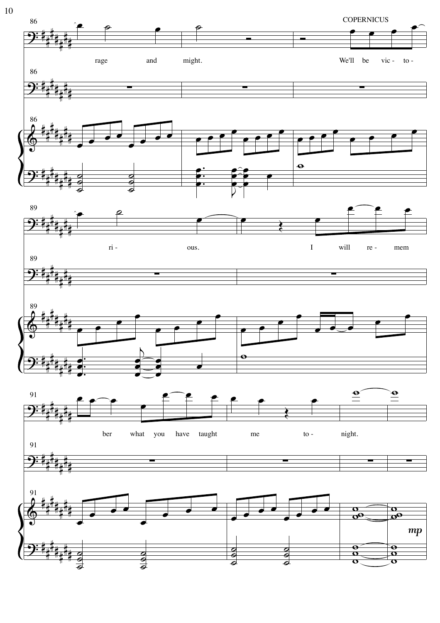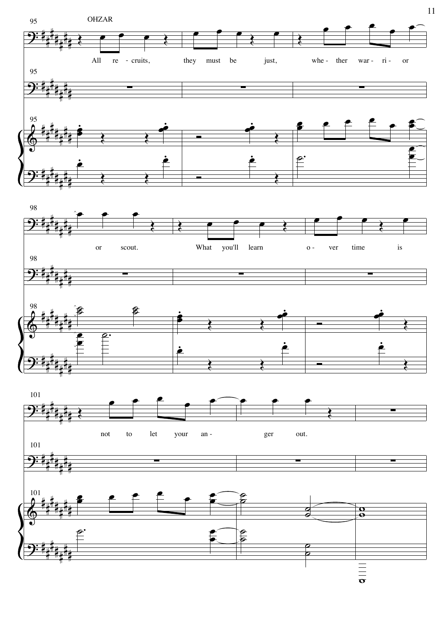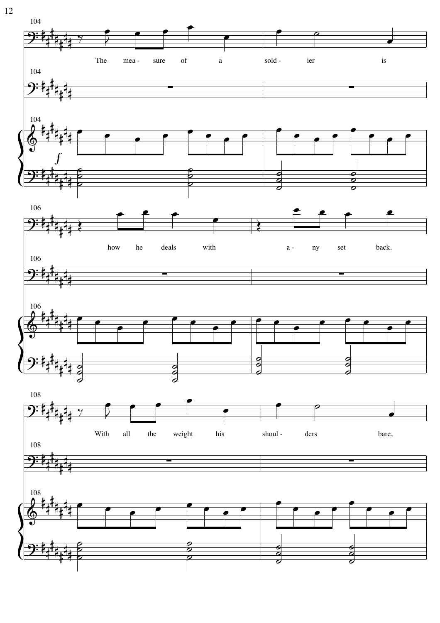![](_page_11_Figure_0.jpeg)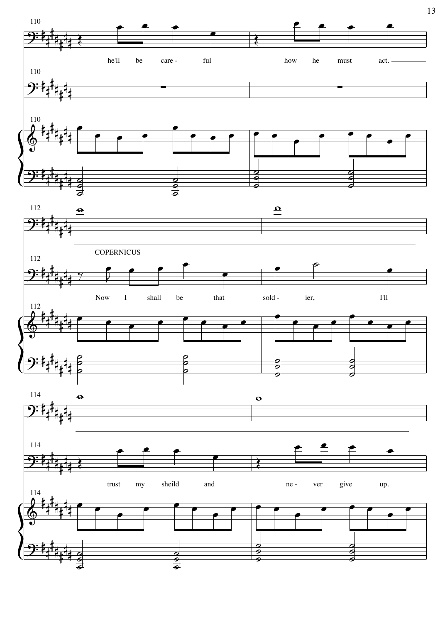![](_page_12_Figure_0.jpeg)